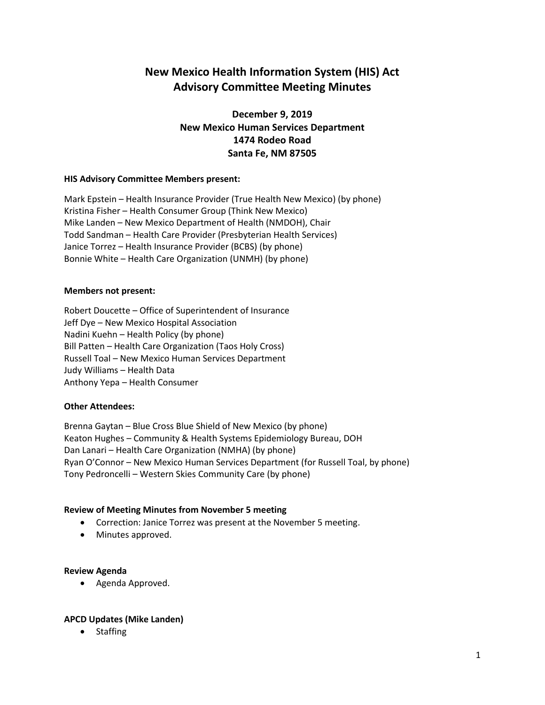# **New Mexico Health Information System (HIS) Act Advisory Committee Meeting Minutes**

## **December 9, 2019 New Mexico Human Services Department 1474 Rodeo Road Santa Fe, NM 87505**

## **HIS Advisory Committee Members present:**

Mark Epstein – Health Insurance Provider (True Health New Mexico) (by phone) Kristina Fisher – Health Consumer Group (Think New Mexico) Mike Landen – New Mexico Department of Health (NMDOH), Chair Todd Sandman – Health Care Provider (Presbyterian Health Services) Janice Torrez – Health Insurance Provider (BCBS) (by phone) Bonnie White – Health Care Organization (UNMH) (by phone)

#### **Members not present:**

Robert Doucette – Office of Superintendent of Insurance Jeff Dye – New Mexico Hospital Association Nadini Kuehn – Health Policy (by phone) Bill Patten – Health Care Organization (Taos Holy Cross) Russell Toal – New Mexico Human Services Department Judy Williams – Health Data Anthony Yepa – Health Consumer

## **Other Attendees:**

Brenna Gaytan – Blue Cross Blue Shield of New Mexico (by phone) Keaton Hughes – Community & Health Systems Epidemiology Bureau, DOH Dan Lanari – Health Care Organization (NMHA) (by phone) Ryan O'Connor – New Mexico Human Services Department (for Russell Toal, by phone) Tony Pedroncelli – Western Skies Community Care (by phone)

## **Review of Meeting Minutes from November 5 meeting**

- Correction: Janice Torrez was present at the November 5 meeting.
- Minutes approved.

#### **Review Agenda**

• Agenda Approved.

## **APCD Updates (Mike Landen)**

• Staffing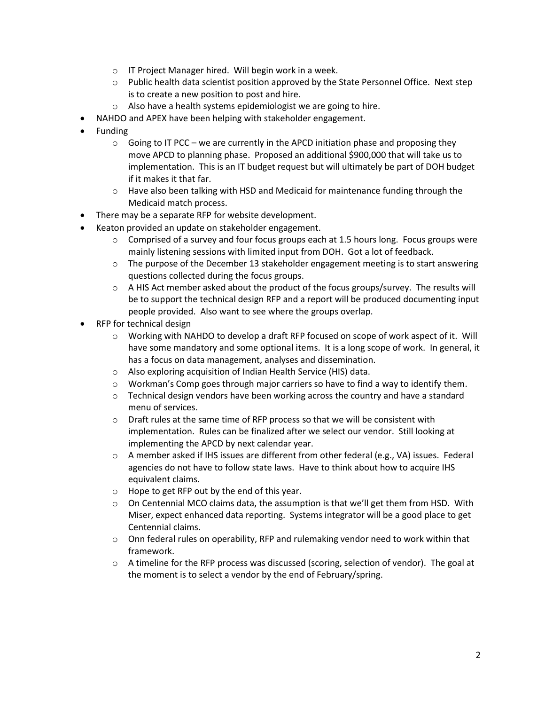- o IT Project Manager hired. Will begin work in a week.
- $\circ$  Public health data scientist position approved by the State Personnel Office. Next step is to create a new position to post and hire.
- $\circ$  Also have a health systems epidemiologist we are going to hire.
- NAHDO and APEX have been helping with stakeholder engagement.
- Funding
	- $\circ$  Going to IT PCC we are currently in the APCD initiation phase and proposing they move APCD to planning phase. Proposed an additional \$900,000 that will take us to implementation. This is an IT budget request but will ultimately be part of DOH budget if it makes it that far.
	- $\circ$  Have also been talking with HSD and Medicaid for maintenance funding through the Medicaid match process.
- There may be a separate RFP for website development.
- Keaton provided an update on stakeholder engagement.
	- $\circ$  Comprised of a survey and four focus groups each at 1.5 hours long. Focus groups were mainly listening sessions with limited input from DOH. Got a lot of feedback.
	- $\circ$  The purpose of the December 13 stakeholder engagement meeting is to start answering questions collected during the focus groups.
	- $\circ$  A HIS Act member asked about the product of the focus groups/survey. The results will be to support the technical design RFP and a report will be produced documenting input people provided. Also want to see where the groups overlap.
- RFP for technical design
	- $\circ$  Working with NAHDO to develop a draft RFP focused on scope of work aspect of it. Will have some mandatory and some optional items. It is a long scope of work. In general, it has a focus on data management, analyses and dissemination.
	- o Also exploring acquisition of Indian Health Service (HIS) data.
	- o Workman's Comp goes through major carriers so have to find a way to identify them.
	- $\circ$  Technical design vendors have been working across the country and have a standard menu of services.
	- o Draft rules at the same time of RFP process so that we will be consistent with implementation. Rules can be finalized after we select our vendor. Still looking at implementing the APCD by next calendar year.
	- o A member asked if IHS issues are different from other federal (e.g., VA) issues. Federal agencies do not have to follow state laws. Have to think about how to acquire IHS equivalent claims.
	- o Hope to get RFP out by the end of this year.
	- $\circ$  On Centennial MCO claims data, the assumption is that we'll get them from HSD. With Miser, expect enhanced data reporting. Systems integrator will be a good place to get Centennial claims.
	- $\circ$  Onn federal rules on operability, RFP and rulemaking vendor need to work within that framework.
	- o A timeline for the RFP process was discussed (scoring, selection of vendor). The goal at the moment is to select a vendor by the end of February/spring.